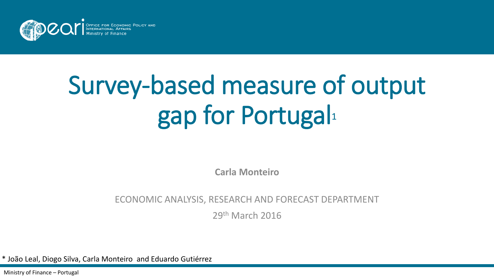

# Survey-based measure of output gap for Portugal<sup>1</sup>

**Carla Monteiro**

#### ECONOMIC ANALYSIS, RESEARCH AND FORECAST DEPARTMENT

29th March 2016

\* João Leal, Diogo Silva, Carla Monteiro and Eduardo Gutiérrez

Ministry of Finance – Portugal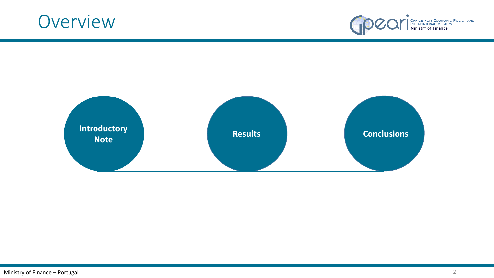



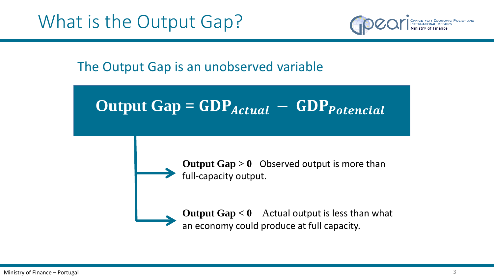

The Output Gap is an unobserved variable

Output 
$$
Gap = GDP_{Actual} - GDP_{potential}
$$



**Output Gap > 0** Observed output is more than full-capacity output.

**Output Gap < 0** Actual output is less than what an economy could produce at full capacity.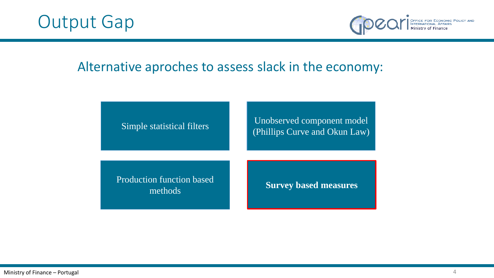



### Alternative aproches to assess slack in the economy:

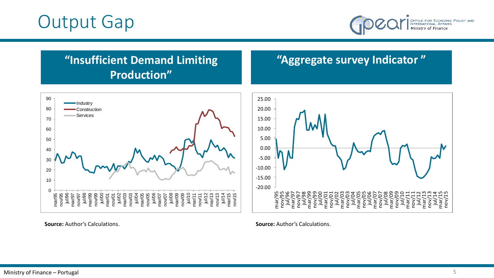## Output Gap



### **"Insufficient Demand Limiting Production"**

### **"Aggregate survey Indicator "**



**Source:** Author's Calculations.

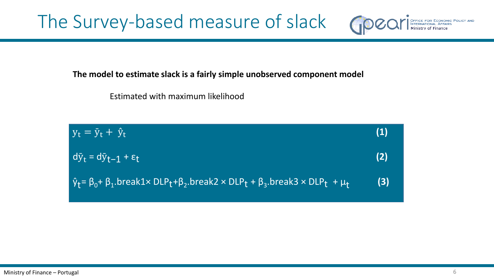The Survey-based measure of slack

#### **The model to estimate slack is a fairly simple unobserved component model**

Estimated with maximum likelihood

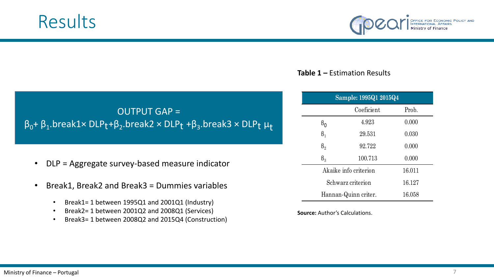



#### **Table 1 –** Estimation Results

### OUTPUT GAP =  $\beta_0$ + β<sub>1</sub>.break1× DLP<sub>t</sub>+β<sub>2</sub>.break2 × DLP<sub>t</sub> +β<sub>3</sub>.break3 × DLP<sub>t</sub> μ<sub>t</sub>

- DLP = Aggregate survey-based measure indicator
- Break1, Break2 and Break3 = Dummies variables
	- Break1= 1 between 1995Q1 and 2001Q1 (Industry)
	- Break2= 1 between 2001Q2 and 2008Q1 (Services)
	- Break3= 1 between 2008Q2 and 2015Q4 (Construction)

| Sample: 1995Q1 2015Q4 |            |       |  |  |  |  |
|-----------------------|------------|-------|--|--|--|--|
|                       | Coeficient | Prob. |  |  |  |  |
| $\beta_{0}$           | 4.923      | 0.000 |  |  |  |  |
| $\beta_1$             | 29.531     | 0.030 |  |  |  |  |
| $\beta_{2}$           | 92.722     | 0.000 |  |  |  |  |
| $\beta_{3}$           | 100.713    | 0.000 |  |  |  |  |
| Akaike info criterion | 16.011     |       |  |  |  |  |
| Schwarz criterion     | 16.127     |       |  |  |  |  |
| Hannan-Quinn criter.  | 16.058     |       |  |  |  |  |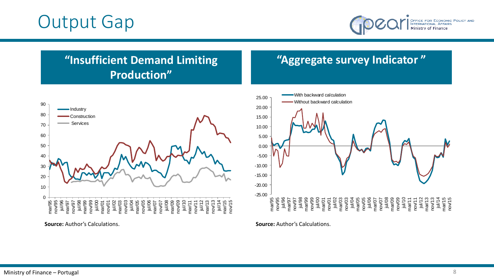## Output Gap



### **"Insufficient Demand Limiting Production"**

### **"Aggregate survey Indicator "**



**Source:** Author's Calculations.

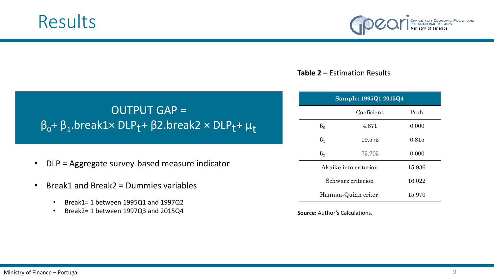



#### **Table 2 –** Estimation Results

### OUTPUT GAP =  $\beta_0$ + β<sub>1</sub>.break1× DLP<sub>t</sub>+ β2.break2 × DLP<sub>t</sub>+ μ<sub>t</sub>

- DLP = Aggregate survey-based measure indicator
- Break1 and Break2 = Dummies variables
	- Break1= 1 between 1995Q1 and 1997Q2
	- Break2= 1 between 1997Q3 and 2015Q4

| Sample: 1995Q1 2015Q4 |            |       |  |  |  |
|-----------------------|------------|-------|--|--|--|
|                       | Coeficient | Prob. |  |  |  |
| $B_0$                 | 4.871      | 0.000 |  |  |  |
| $\beta_1$             | 19.575     | 0.815 |  |  |  |
| $\beta_{2}$           | 75.705     | 0.000 |  |  |  |
| Akaike info criterion | 15.936     |       |  |  |  |
| Schwarz criterion     | 16.022     |       |  |  |  |
| Hannan-Quinn criter.  | 15.970     |       |  |  |  |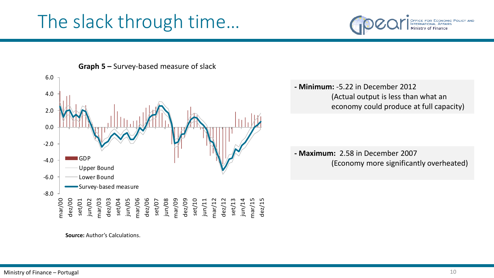# The slack through time…





**Graph 5 –** Survey-based measure of slack

**- Minimum:** -5.22 in December 2012 (Actual output is less than what an economy could produce at full capacity)

**- Maximum:** 2.58 in December 2007 (Economy more significantly overheated)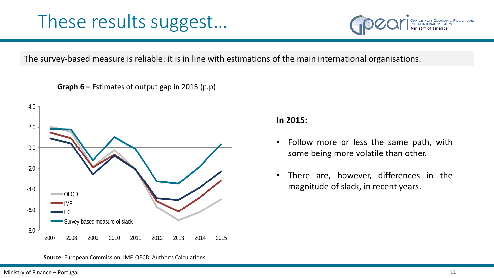

The survey-based measure is reliable: it is in line with estimations of the main international organisations.

**Graph 6 –** Estimates of output gap in 2015 (p.p)



**In 2015:**

- Follow more or less the same path, with some being more volatile than other.
- There are, however, differences in the magnitude of slack, in recent years.

**Source:** European Commission, IMF, OECD, Author's Calculations.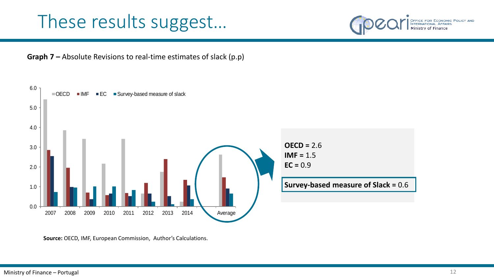





**Source:** OECD, IMF, European Commission, Author's Calculations.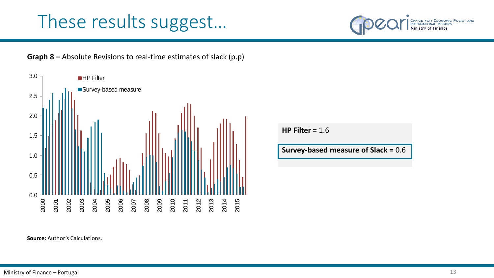





**HP Filter =** 1.6

**Survey-based measure of Slack =** 0.6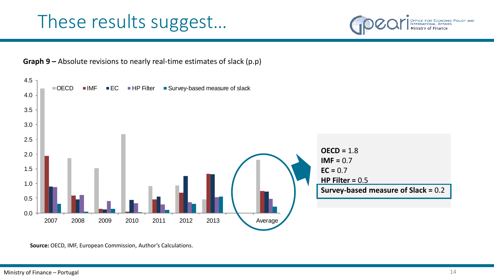





**Source:** OECD, IMF, European Commission, Author's Calculations.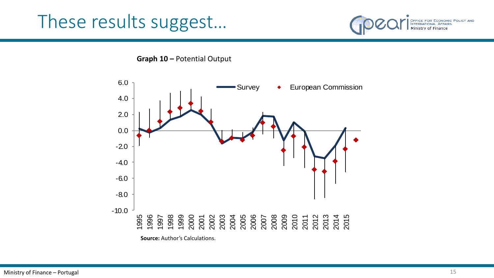

**Graph 10 –** Potential Output

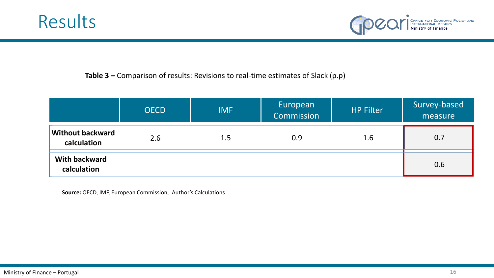



#### **Table 3 –** Comparison of results: Revisions to real-time estimates of Slack (p.p)

|                                        | <b>OECD</b> | <b>IMF</b> | European<br>Commission | <b>HP Filter</b> | Survey-based<br>measure |
|----------------------------------------|-------------|------------|------------------------|------------------|-------------------------|
| <b>Without backward</b><br>calculation | 2.6         | 1.5        | 0.9                    | 1.6              | 0.7                     |
| <b>With backward</b><br>calculation    |             |            |                        |                  | 0.6                     |

**Source:** OECD, IMF, European Commission, Author's Calculations.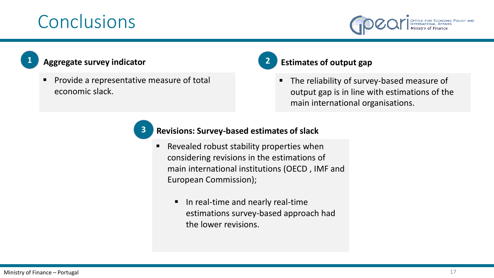# Conclusions



|  |  | r |
|--|--|---|
|  |  |   |
|  |  |   |
|  |  |   |
|  |  |   |

### **1 Aggregate survey indicator**

**Provide a representative measure of total** economic slack.

### **2 Estimates of output gap**

The reliability of survey-based measure of output gap is in line with estimations of the main international organisations.

#### **3 Revisions: Survey-based estimates of slack**

- Revealed robust stability properties when considering revisions in the estimations of main international institutions (OECD , IMF and European Commission);
	- **IF In real-time and nearly real-time** estimations survey-based approach had the lower revisions.